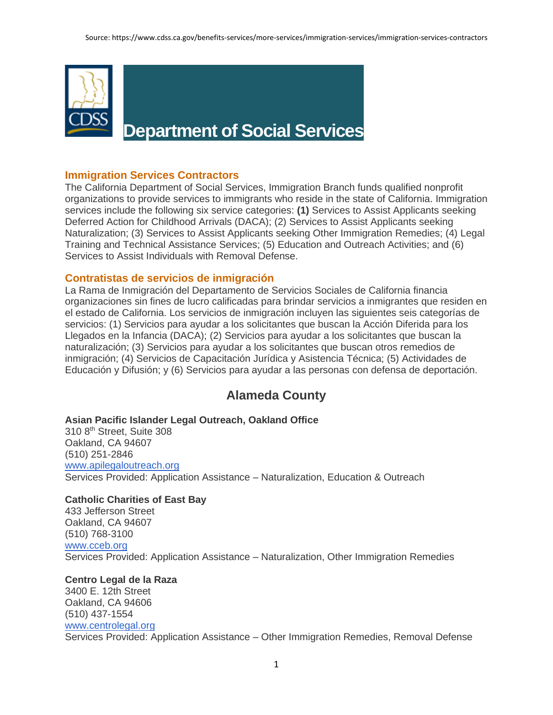

# **Department of Social Services**

# **Immigration Services Contractors**

The California Department of Social Services, Immigration Branch funds qualified nonprofit organizations to provide services to immigrants who reside in the state of California. Immigration services include the following six service categories: **(1)** Services to Assist Applicants seeking Deferred Action for Childhood Arrivals (DACA); (2) Services to Assist Applicants seeking Naturalization; (3) Services to Assist Applicants seeking Other Immigration Remedies; (4) Legal Training and Technical Assistance Services; (5) Education and Outreach Activities; and (6) Services to Assist Individuals with Removal Defense.

# **Contratistas de servicios de inmigración**

La Rama de Inmigración del Departamento de Servicios Sociales de California financia organizaciones sin fines de lucro calificadas para brindar servicios a inmigrantes que residen en el estado de California. Los servicios de inmigración incluyen las siguientes seis categorías de servicios: (1) Servicios para ayudar a los solicitantes que buscan la Acción Diferida para los Llegados en la Infancia (DACA); (2) Servicios para ayudar a los solicitantes que buscan la naturalización; (3) Servicios para ayudar a los solicitantes que buscan otros remedios de inmigración; (4) Servicios de Capacitación Jurídica y Asistencia Técnica; (5) Actividades de Educación y Difusión; y (6) Servicios para ayudar a las personas con defensa de deportación.

# **Alameda County**

#### **Asian Pacific Islander Legal Outreach, Oakland Office**

310 8th Street, Suite 308 Oakland, CA 94607 (510) 251-2846 [www.apilegaloutreach.org](http://www.apilegaloutreach.org/) Services Provided: Application Assistance – Naturalization, Education & Outreach

# **Catholic Charities of East Bay**

433 Jefferson Street Oakland, CA 94607 (510) 768-3100 [www.cceb.org](http://www.cceb.org/) Services Provided: Application Assistance – Naturalization, Other Immigration Remedies

# **Centro Legal de la Raza**

3400 E. 12th Street Oakland, CA 94606 (510) 437-1554 [www.centrolegal.org](http://www.centrolegal.org/) Services Provided: Application Assistance – Other Immigration Remedies, Removal Defense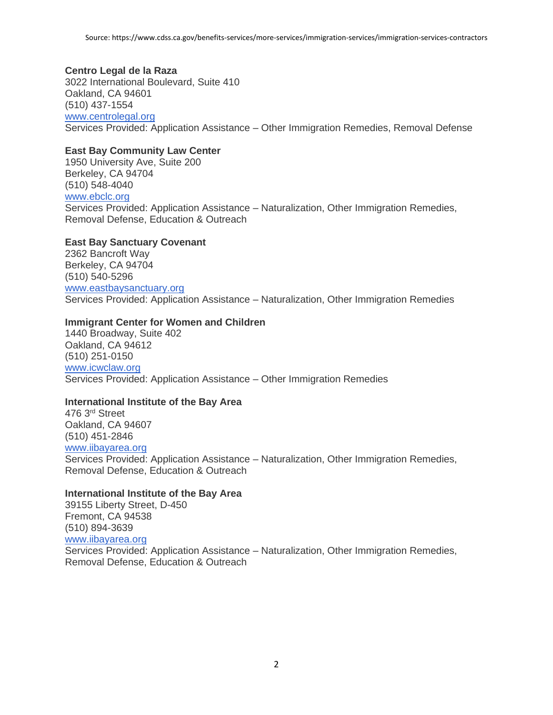#### **Centro Legal de la Raza**

3022 International Boulevard, Suite 410 Oakland, CA 94601 (510) 437-1554 [www.centrolegal.org](http://www.centrolegal.org/) Services Provided: Application Assistance – Other Immigration Remedies, Removal Defense

#### **East Bay Community Law Center**

1950 University Ave, Suite 200 Berkeley, CA 94704 (510) 548-4040 [www.ebclc.org](http://www.ebclc.org/) Services Provided: Application Assistance – Naturalization, Other Immigration Remedies, Removal Defense, Education & Outreach

#### **East Bay Sanctuary Covenant**

2362 Bancroft Way Berkeley, CA 94704 (510) 540-5296 [www.eastbaysanctuary.org](http://www.eastbaysanctuary.org/) Services Provided: Application Assistance – Naturalization, Other Immigration Remedies

#### **Immigrant Center for Women and Children**

1440 Broadway, Suite 402 Oakland, CA 94612 (510) 251-0150 [www.icwclaw.org](http://www.icwclaw.org/) Services Provided: Application Assistance – Other Immigration Remedies

## **International Institute of the Bay Area**

476 3rd Street Oakland, CA 94607 (510) 451-2846 [www.iibayarea.org](http://www.iibayarea.org/) Services Provided: Application Assistance – Naturalization, Other Immigration Remedies, Removal Defense, Education & Outreach

#### **International Institute of the Bay Area**

39155 Liberty Street, D-450 Fremont, CA 94538 (510) 894-3639 [www.iibayarea.org](http://www.iibayarea.org/) Services Provided: Application Assistance – Naturalization, Other Immigration Remedies, Removal Defense, Education & Outreach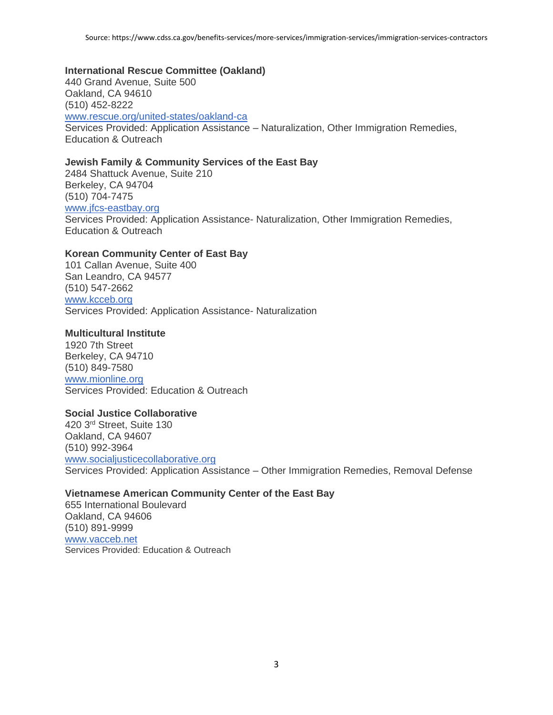#### **International Rescue Committee (Oakland)**

440 Grand Avenue, Suite 500 Oakland, CA 94610 (510) 452-8222 [www.rescue.org/united-states/oakland-ca](http://www.rescue.org/united-states/oakland-ca) Services Provided: Application Assistance – Naturalization, Other Immigration Remedies, Education & Outreach

#### **Jewish Family & Community Services of the East Bay**

2484 Shattuck Avenue, Suite 210 Berkeley, CA 94704 (510) 704-7475 [www.jfcs-eastbay.org](http://www.jfcs-eastbay.org/) Services Provided: Application Assistance- Naturalization, Other Immigration Remedies, Education & Outreach

#### **Korean Community Center of East Bay**

101 Callan Avenue, Suite 400 San Leandro, CA 94577 (510) 547-2662 [www.kcceb.org](http://www.kcceb.org/) Services Provided: Application Assistance- Naturalization

#### **Multicultural Institute**

1920 7th Street Berkeley, CA 94710 (510) 849-7580 [www.mionline.org](http://www.mionline.org/) Services Provided: Education & Outreach

#### **Social Justice Collaborative**

420 3rd Street, Suite 130 Oakland, CA 94607 (510) 992-3964 [www.socialjusticecollaborative.org](http://www.socialjusticecollaborative.org/) Services Provided: Application Assistance – Other Immigration Remedies, Removal Defense

#### **Vietnamese American Community Center of the East Bay**

655 International Boulevard Oakland, CA 94606 (510) 891-9999 [www.vacceb.net](http://www.vacceb.net/) Services Provided: Education & Outreach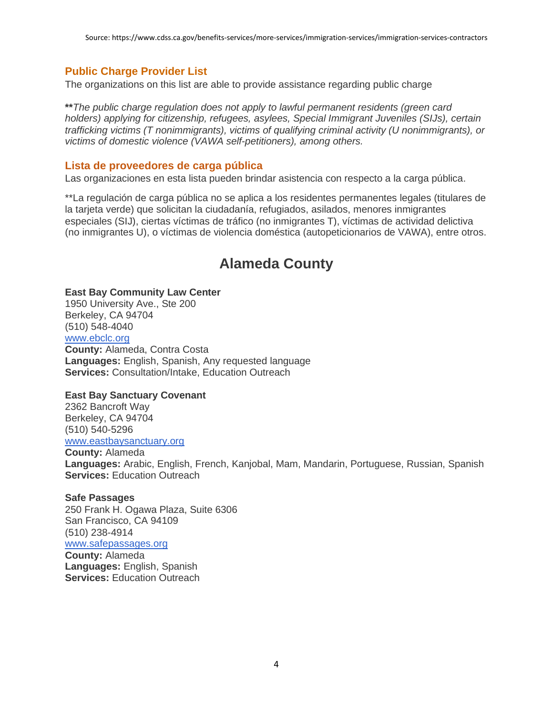# **Public Charge Provider List**

The organizations on this list are able to provide assistance regarding public charge

**\*\****The public charge regulation does not apply to lawful permanent residents (green card holders) applying for citizenship, refugees, asylees, Special Immigrant Juveniles (SIJs), certain trafficking victims (T nonimmigrants), victims of qualifying criminal activity (U nonimmigrants), or victims of domestic violence (VAWA self-petitioners), among others.*

## **Lista de proveedores de carga pública**

Las organizaciones en esta lista pueden brindar asistencia con respecto a la carga pública.

\*\*La regulación de carga pública no se aplica a los residentes permanentes legales (titulares de la tarjeta verde) que solicitan la ciudadanía, refugiados, asilados, menores inmigrantes especiales (SIJ), ciertas víctimas de tráfico (no inmigrantes T), víctimas de actividad delictiva (no inmigrantes U), o víctimas de violencia doméstica (autopeticionarios de VAWA), entre otros.

# **Alameda County**

#### **East Bay Community Law Center**

1950 University Ave., Ste 200 Berkeley, CA 94704 (510) 548-4040 [www.ebclc.org](http://www.ebclc.org/) **County:** Alameda, Contra Costa **Languages:** English, Spanish, Any requested language **Services:** Consultation/Intake, Education Outreach

#### **East Bay Sanctuary Covenant**

2362 Bancroft Way Berkeley, CA 94704 (510) 540-5296 [www.eastbaysanctuary.org](http://www.eastbaysanctuary.org/)

**County:** Alameda

**Languages:** Arabic, English, French, Kanjobal, Mam, Mandarin, Portuguese, Russian, Spanish **Services: Education Outreach** 

#### **Safe Passages**

250 Frank H. Ogawa Plaza, Suite 6306 San Francisco, CA 94109 (510) 238-4914 [www.safepassages.org](http://www.safepassages.org/) **County:** Alameda **Languages:** English, Spanish **Services:** Education Outreach